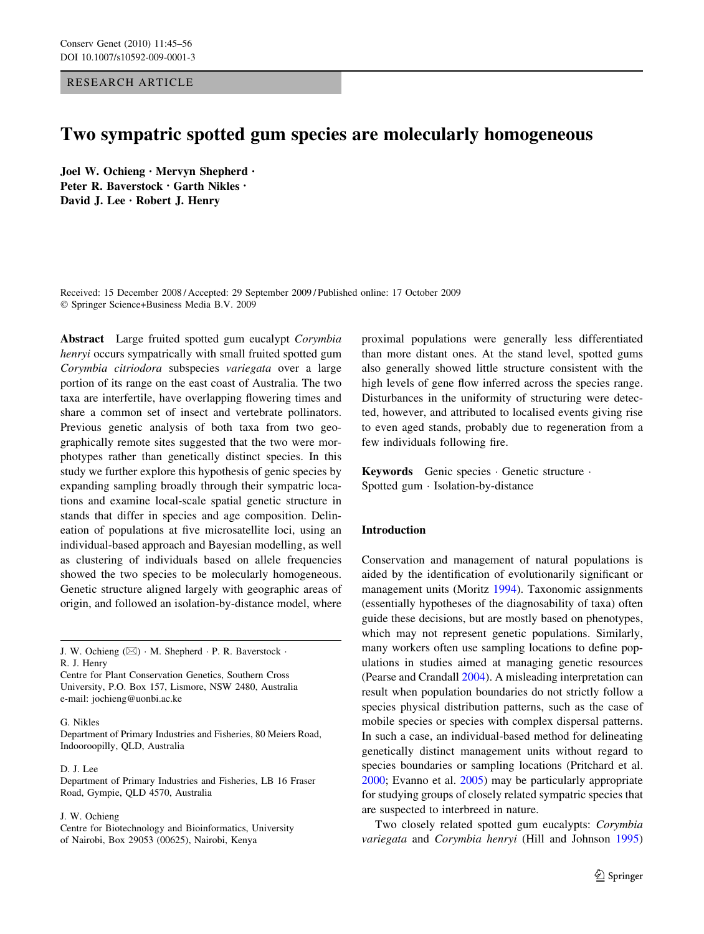# RESEARCH ARTICLE

# Two sympatric spotted gum species are molecularly homogeneous

Joel W. Ochieng • Mervyn Shepherd • Peter R. Baverstock • Garth Nikles • David J. Lee • Robert J. Henry

Received: 15 December 2008 / Accepted: 29 September 2009 / Published online: 17 October 2009 Springer Science+Business Media B.V. 2009

Abstract Large fruited spotted gum eucalypt Corymbia henryi occurs sympatrically with small fruited spotted gum Corymbia citriodora subspecies variegata over a large portion of its range on the east coast of Australia. The two taxa are interfertile, have overlapping flowering times and share a common set of insect and vertebrate pollinators. Previous genetic analysis of both taxa from two geographically remote sites suggested that the two were morphotypes rather than genetically distinct species. In this study we further explore this hypothesis of genic species by expanding sampling broadly through their sympatric locations and examine local-scale spatial genetic structure in stands that differ in species and age composition. Delineation of populations at five microsatellite loci, using an individual-based approach and Bayesian modelling, as well as clustering of individuals based on allele frequencies showed the two species to be molecularly homogeneous. Genetic structure aligned largely with geographic areas of origin, and followed an isolation-by-distance model, where

J. W. Ochieng  $(\boxtimes) \cdot M$ . Shepherd  $\cdot$  P. R. Baverstock  $\cdot$ R. J. Henry

Centre for Plant Conservation Genetics, Southern Cross University, P.O. Box 157, Lismore, NSW 2480, Australia e-mail: jochieng@uonbi.ac.ke

G. Nikles

Department of Primary Industries and Fisheries, 80 Meiers Road, Indooroopilly, QLD, Australia

D. J. Lee

Department of Primary Industries and Fisheries, LB 16 Fraser Road, Gympie, QLD 4570, Australia

J. W. Ochieng

Centre for Biotechnology and Bioinformatics, University of Nairobi, Box 29053 (00625), Nairobi, Kenya

proximal populations were generally less differentiated than more distant ones. At the stand level, spotted gums also generally showed little structure consistent with the high levels of gene flow inferred across the species range. Disturbances in the uniformity of structuring were detected, however, and attributed to localised events giving rise to even aged stands, probably due to regeneration from a few individuals following fire.

Keywords Genic species Genetic structure. Spotted  $gum \cdot Isolation-by-distance$ 

# Introduction

Conservation and management of natural populations is aided by the identification of evolutionarily significant or management units (Moritz [1994](#page-10-0)). Taxonomic assignments (essentially hypotheses of the diagnosability of taxa) often guide these decisions, but are mostly based on phenotypes, which may not represent genetic populations. Similarly, many workers often use sampling locations to define populations in studies aimed at managing genetic resources (Pearse and Crandall [2004\)](#page-10-0). A misleading interpretation can result when population boundaries do not strictly follow a species physical distribution patterns, such as the case of mobile species or species with complex dispersal patterns. In such a case, an individual-based method for delineating genetically distinct management units without regard to species boundaries or sampling locations (Pritchard et al. [2000](#page-10-0); Evanno et al. [2005](#page-10-0)) may be particularly appropriate for studying groups of closely related sympatric species that are suspected to interbreed in nature.

Two closely related spotted gum eucalypts: Corymbia variegata and Corymbia henryi (Hill and Johnson [1995\)](#page-10-0)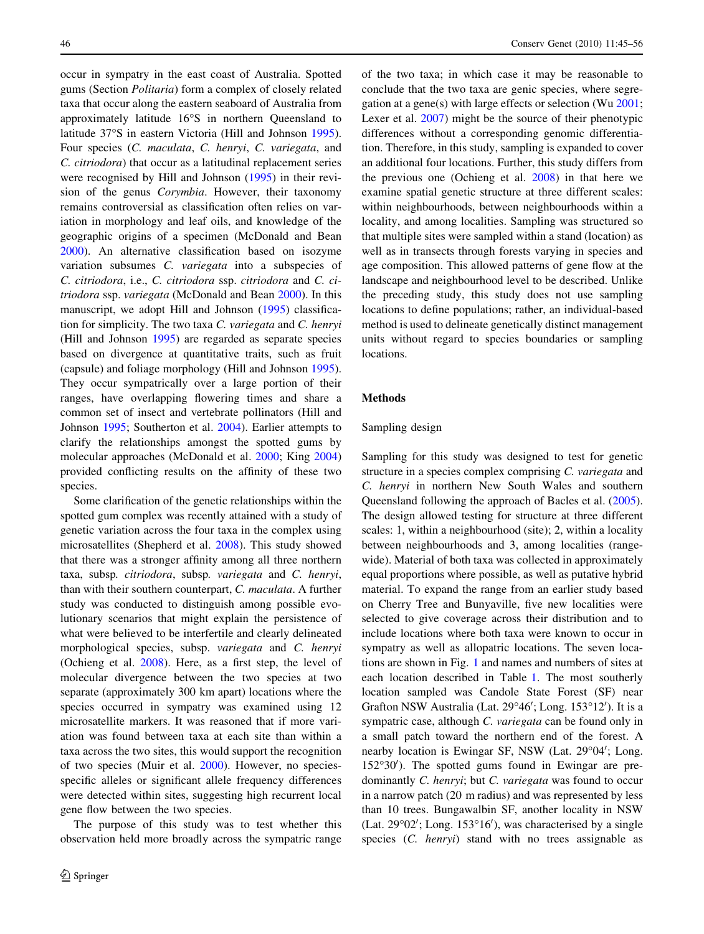occur in sympatry in the east coast of Australia. Spotted gums (Section Politaria) form a complex of closely related taxa that occur along the eastern seaboard of Australia from approximately latitude  $16^{\circ}$ S in northern Queensland to latitude 37°S in eastern Victoria (Hill and Johnson [1995](#page-10-0)). Four species (C. maculata, C. henryi, C. variegata, and C. citriodora) that occur as a latitudinal replacement series were recognised by Hill and Johnson [\(1995](#page-10-0)) in their revision of the genus Corymbia. However, their taxonomy remains controversial as classification often relies on variation in morphology and leaf oils, and knowledge of the geographic origins of a specimen (McDonald and Bean [2000\)](#page-10-0). An alternative classification based on isozyme variation subsumes C. variegata into a subspecies of C. citriodora, i.e., C. citriodora ssp. citriodora and C. citriodora ssp. variegata (McDonald and Bean [2000](#page-10-0)). In this manuscript, we adopt Hill and Johnson ([1995\)](#page-10-0) classification for simplicity. The two taxa C. variegata and C. henryi (Hill and Johnson [1995\)](#page-10-0) are regarded as separate species based on divergence at quantitative traits, such as fruit (capsule) and foliage morphology (Hill and Johnson [1995](#page-10-0)). They occur sympatrically over a large portion of their ranges, have overlapping flowering times and share a common set of insect and vertebrate pollinators (Hill and Johnson [1995;](#page-10-0) Southerton et al. [2004](#page-11-0)). Earlier attempts to clarify the relationships amongst the spotted gums by molecular approaches (McDonald et al. [2000](#page-10-0); King [2004\)](#page-10-0) provided conflicting results on the affinity of these two species.

Some clarification of the genetic relationships within the spotted gum complex was recently attained with a study of genetic variation across the four taxa in the complex using microsatellites (Shepherd et al. [2008](#page-11-0)). This study showed that there was a stronger affinity among all three northern taxa, subsp. citriodora, subsp. variegata and C. henryi, than with their southern counterpart, C. maculata. A further study was conducted to distinguish among possible evolutionary scenarios that might explain the persistence of what were believed to be interfertile and clearly delineated morphological species, subsp. variegata and C. henryi (Ochieng et al. [2008\)](#page-10-0). Here, as a first step, the level of molecular divergence between the two species at two separate (approximately 300 km apart) locations where the species occurred in sympatry was examined using 12 microsatellite markers. It was reasoned that if more variation was found between taxa at each site than within a taxa across the two sites, this would support the recognition of two species (Muir et al. [2000](#page-10-0)). However, no speciesspecific alleles or significant allele frequency differences were detected within sites, suggesting high recurrent local gene flow between the two species.

The purpose of this study was to test whether this observation held more broadly across the sympatric range of the two taxa; in which case it may be reasonable to conclude that the two taxa are genic species, where segregation at a gene(s) with large effects or selection (Wu [2001](#page-11-0); Lexer et al. [2007](#page-10-0)) might be the source of their phenotypic differences without a corresponding genomic differentiation. Therefore, in this study, sampling is expanded to cover an additional four locations. Further, this study differs from the previous one (Ochieng et al. [2008](#page-10-0)) in that here we examine spatial genetic structure at three different scales: within neighbourhoods, between neighbourhoods within a locality, and among localities. Sampling was structured so that multiple sites were sampled within a stand (location) as well as in transects through forests varying in species and age composition. This allowed patterns of gene flow at the landscape and neighbourhood level to be described. Unlike the preceding study, this study does not use sampling locations to define populations; rather, an individual-based method is used to delineate genetically distinct management units without regard to species boundaries or sampling locations.

## Methods

## Sampling design

Sampling for this study was designed to test for genetic structure in a species complex comprising C. variegata and C. henryi in northern New South Wales and southern Queensland following the approach of Bacles et al. [\(2005](#page-10-0)). The design allowed testing for structure at three different scales: 1, within a neighbourhood (site); 2, within a locality between neighbourhoods and 3, among localities (rangewide). Material of both taxa was collected in approximately equal proportions where possible, as well as putative hybrid material. To expand the range from an earlier study based on Cherry Tree and Bunyaville, five new localities were selected to give coverage across their distribution and to include locations where both taxa were known to occur in sympatry as well as allopatric locations. The seven locations are shown in Fig. [1](#page-2-0) and names and numbers of sites at each location described in Table [1](#page-3-0). The most southerly location sampled was Candole State Forest (SF) near Grafton NSW Australia (Lat. 29°46'; Long. 153°12'). It is a sympatric case, although *C. variegata* can be found only in a small patch toward the northern end of the forest. A nearby location is Ewingar SF, NSW (Lat. 29°04'; Long. 152°30'). The spotted gums found in Ewingar are predominantly C. henryi; but C. variegata was found to occur in a narrow patch (20 m radius) and was represented by less than 10 trees. Bungawalbin SF, another locality in NSW (Lat. 29°02'; Long. 153°16'), was characterised by a single species (C. henryi) stand with no trees assignable as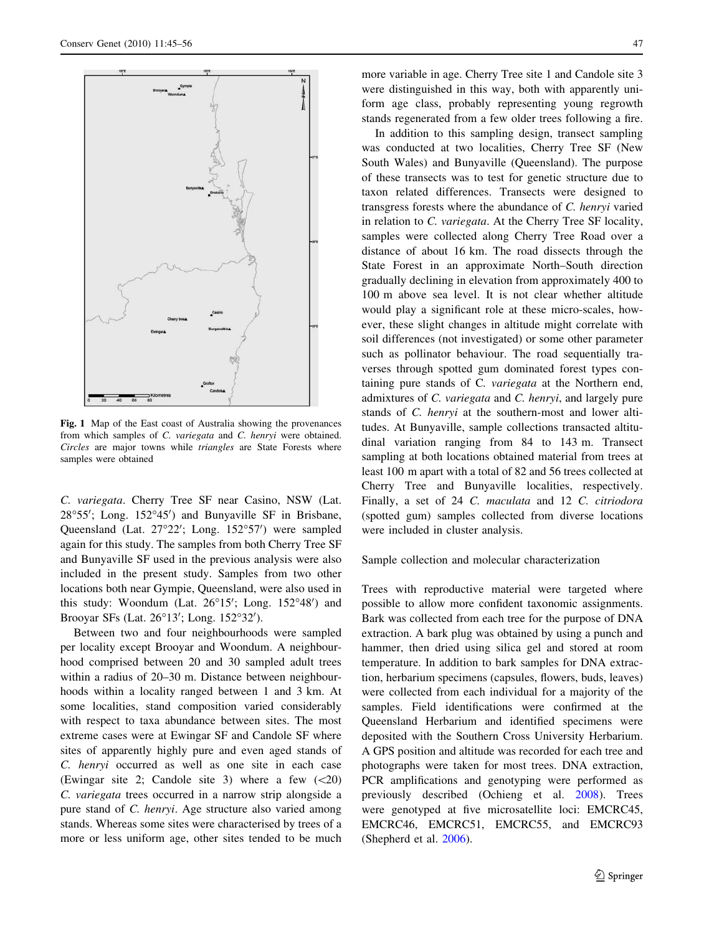<span id="page-2-0"></span>

Fig. 1 Map of the East coast of Australia showing the provenances from which samples of C. variegata and C. henryi were obtained. Circles are major towns while triangles are State Forests where samples were obtained

C. variegata. Cherry Tree SF near Casino, NSW (Lat. 28°55'; Long. 152°45') and Bunyaville SF in Brisbane, Queensland (Lat. 27°22'; Long. 152°57') were sampled again for this study. The samples from both Cherry Tree SF and Bunyaville SF used in the previous analysis were also included in the present study. Samples from two other locations both near Gympie, Queensland, were also used in this study: Woondum (Lat. 26°15'; Long. 152°48') and Brooyar SFs (Lat. 26°13'; Long. 152°32').

Between two and four neighbourhoods were sampled per locality except Brooyar and Woondum. A neighbourhood comprised between 20 and 30 sampled adult trees within a radius of 20–30 m. Distance between neighbourhoods within a locality ranged between 1 and 3 km. At some localities, stand composition varied considerably with respect to taxa abundance between sites. The most extreme cases were at Ewingar SF and Candole SF where sites of apparently highly pure and even aged stands of C. henryi occurred as well as one site in each case (Ewingar site 2; Candole site 3) where a few  $(\leq 20)$ C. variegata trees occurred in a narrow strip alongside a pure stand of C. henryi. Age structure also varied among stands. Whereas some sites were characterised by trees of a more or less uniform age, other sites tended to be much

more variable in age. Cherry Tree site 1 and Candole site 3 were distinguished in this way, both with apparently uniform age class, probably representing young regrowth stands regenerated from a few older trees following a fire.

In addition to this sampling design, transect sampling was conducted at two localities, Cherry Tree SF (New South Wales) and Bunyaville (Queensland). The purpose of these transects was to test for genetic structure due to taxon related differences. Transects were designed to transgress forests where the abundance of C. henryi varied in relation to C. variegata. At the Cherry Tree SF locality, samples were collected along Cherry Tree Road over a distance of about 16 km. The road dissects through the State Forest in an approximate North–South direction gradually declining in elevation from approximately 400 to 100 m above sea level. It is not clear whether altitude would play a significant role at these micro-scales, however, these slight changes in altitude might correlate with soil differences (not investigated) or some other parameter such as pollinator behaviour. The road sequentially traverses through spotted gum dominated forest types containing pure stands of C. variegata at the Northern end, admixtures of C. variegata and C. henryi, and largely pure stands of C. henryi at the southern-most and lower altitudes. At Bunyaville, sample collections transacted altitudinal variation ranging from 84 to 143 m. Transect sampling at both locations obtained material from trees at least 100 m apart with a total of 82 and 56 trees collected at Cherry Tree and Bunyaville localities, respectively. Finally, a set of 24 C. maculata and 12 C. citriodora (spotted gum) samples collected from diverse locations were included in cluster analysis.

# Sample collection and molecular characterization

Trees with reproductive material were targeted where possible to allow more confident taxonomic assignments. Bark was collected from each tree for the purpose of DNA extraction. A bark plug was obtained by using a punch and hammer, then dried using silica gel and stored at room temperature. In addition to bark samples for DNA extraction, herbarium specimens (capsules, flowers, buds, leaves) were collected from each individual for a majority of the samples. Field identifications were confirmed at the Queensland Herbarium and identified specimens were deposited with the Southern Cross University Herbarium. A GPS position and altitude was recorded for each tree and photographs were taken for most trees. DNA extraction, PCR amplifications and genotyping were performed as previously described (Ochieng et al. [2008\)](#page-10-0). Trees were genotyped at five microsatellite loci: EMCRC45, EMCRC46, EMCRC51, EMCRC55, and EMCRC93 (Shepherd et al. [2006](#page-11-0)).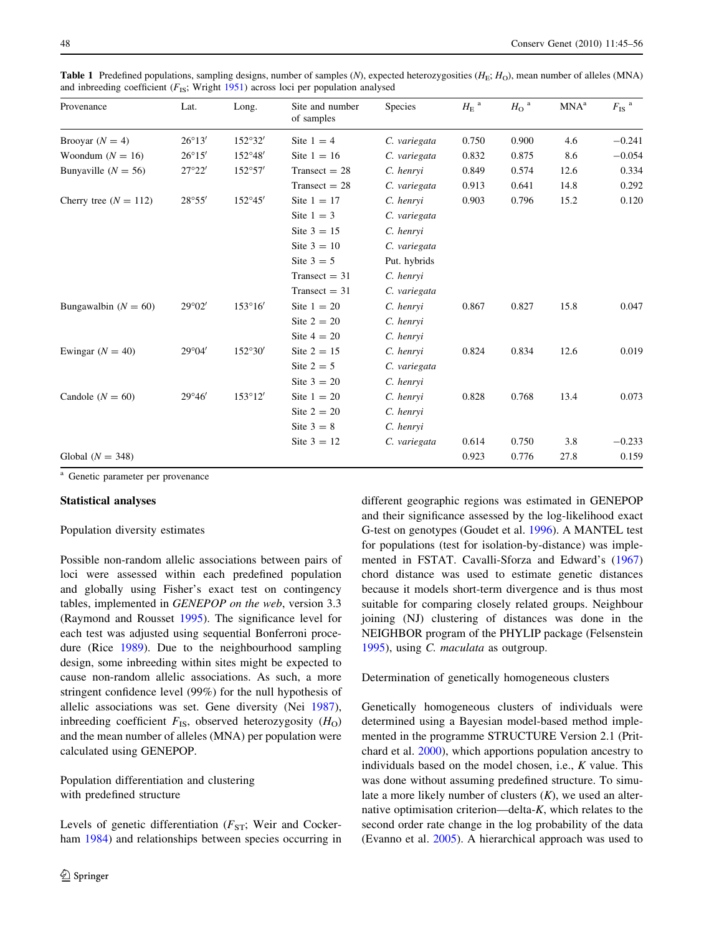| Provenance              | Lat.            | Long.            | Site and number<br>of samples | Species      | $H_{\rm E}$ a | $H_0$ <sup>a</sup> | $MNA^a$ | $F_{\rm IS}$ $^{\rm a}$ |
|-------------------------|-----------------|------------------|-------------------------------|--------------|---------------|--------------------|---------|-------------------------|
| Brooyar $(N = 4)$       | $26^{\circ}13'$ | 152°32'          | Site $1 = 4$                  | C. variegata | 0.750         | 0.900              | 4.6     | $-0.241$                |
| Woondum $(N = 16)$      | $26^{\circ}15'$ | 152°48'          | Site $1 = 16$                 | C. variegata | 0.832         | 0.875              | 8.6     | $-0.054$                |
| Bunyaville $(N = 56)$   | 27°22'          | 152°57'          | Transect $= 28$               | C. henryi    | 0.849         | 0.574              | 12.6    | 0.334                   |
|                         |                 |                  | Transect $= 28$               | C. variegata | 0.913         | 0.641              | 14.8    | 0.292                   |
| Cherry tree $(N = 112)$ | 28°55'          | 152°45'          | Site $1 = 17$                 | C. henryi    | 0.903         | 0.796              | 15.2    | 0.120                   |
|                         |                 |                  | Site $1 = 3$                  | C. variegata |               |                    |         |                         |
|                         |                 |                  | Site $3 = 15$                 | C. henryi    |               |                    |         |                         |
|                         |                 |                  | Site $3 = 10$                 | C. variegata |               |                    |         |                         |
|                         |                 |                  | Site $3 = 5$                  | Put. hybrids |               |                    |         |                         |
|                         |                 |                  | Transect $=$ 31               | C. henryi    |               |                    |         |                         |
|                         |                 |                  | $Transect = 31$               | C. variegata |               |                    |         |                         |
| Bungawalbin $(N = 60)$  | $29^{\circ}02'$ | 153°16'          | Site $1 = 20$                 | C. henryi    | 0.867         | 0.827              | 15.8    | 0.047                   |
|                         |                 |                  | Site $2 = 20$                 | C. henryi    |               |                    |         |                         |
|                         |                 |                  | Site $4 = 20$                 | C. henryi    |               |                    |         |                         |
| Ewingar $(N = 40)$      | 29°04'          | $152^{\circ}30'$ | Site $2 = 15$                 | C. henryi    | 0.824         | 0.834              | 12.6    | 0.019                   |
|                         |                 |                  | Site $2 = 5$                  | C. variegata |               |                    |         |                         |
|                         |                 |                  | Site $3 = 20$                 | C. henryi    |               |                    |         |                         |
| Candole $(N = 60)$      | $29^{\circ}46'$ | 153°12'          | Site $1 = 20$                 | C. henryi    | 0.828         | 0.768              | 13.4    | 0.073                   |
|                         |                 |                  | Site $2 = 20$                 | C. henryi    |               |                    |         |                         |
|                         |                 |                  | Site $3 = 8$                  | C. henryi    |               |                    |         |                         |
|                         |                 |                  | Site $3 = 12$                 | C. variegata | 0.614         | 0.750              | 3.8     | $-0.233$                |
| Global $(N = 348)$      |                 |                  |                               |              | 0.923         | 0.776              | 27.8    | 0.159                   |

<span id="page-3-0"></span>Table 1 Predefined populations, sampling designs, number of samples  $(N)$ , expected heterozygosities  $(H_E; H_O)$ , mean number of alleles (MNA) and inbreeding coefficient  $(F_{1S};$  Wright [1951\)](#page-11-0) across loci per population analysed

<sup>a</sup> Genetic parameter per provenance

# Statistical analyses

## Population diversity estimates

Possible non-random allelic associations between pairs of loci were assessed within each predefined population and globally using Fisher's exact test on contingency tables, implemented in GENEPOP on the web, version 3.3 (Raymond and Rousset [1995\)](#page-10-0). The significance level for each test was adjusted using sequential Bonferroni procedure (Rice [1989\)](#page-11-0). Due to the neighbourhood sampling design, some inbreeding within sites might be expected to cause non-random allelic associations. As such, a more stringent confidence level (99%) for the null hypothesis of allelic associations was set. Gene diversity (Nei [1987](#page-10-0)), inbreeding coefficient  $F_{IS}$ , observed heterozygosity  $(H_O)$ and the mean number of alleles (MNA) per population were calculated using GENEPOP.

Population differentiation and clustering with predefined structure

Levels of genetic differentiation  $(F_{ST};$  Weir and Cocker-ham [1984\)](#page-11-0) and relationships between species occurring in different geographic regions was estimated in GENEPOP and their significance assessed by the log-likelihood exact G-test on genotypes (Goudet et al. [1996](#page-10-0)). A MANTEL test for populations (test for isolation-by-distance) was implemented in FSTAT. Cavalli-Sforza and Edward's ([1967\)](#page-10-0) chord distance was used to estimate genetic distances because it models short-term divergence and is thus most suitable for comparing closely related groups. Neighbour joining (NJ) clustering of distances was done in the NEIGHBOR program of the PHYLIP package (Felsenstein [1995](#page-10-0)), using C. maculata as outgroup.

Determination of genetically homogeneous clusters

Genetically homogeneous clusters of individuals were determined using a Bayesian model-based method implemented in the programme STRUCTURE Version 2.1 (Pritchard et al. [2000\)](#page-10-0), which apportions population ancestry to individuals based on the model chosen, i.e., K value. This was done without assuming predefined structure. To simulate a more likely number of clusters  $(K)$ , we used an alternative optimisation criterion—delta-K, which relates to the second order rate change in the log probability of the data (Evanno et al. [2005\)](#page-10-0). A hierarchical approach was used to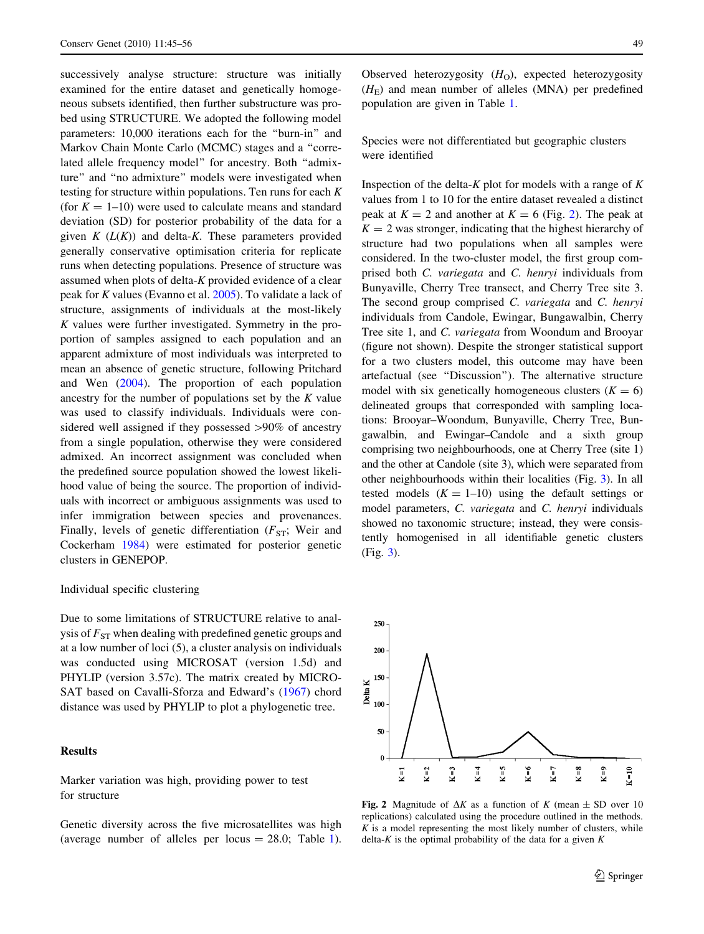<span id="page-4-0"></span>successively analyse structure: structure was initially examined for the entire dataset and genetically homogeneous subsets identified, then further substructure was probed using STRUCTURE. We adopted the following model parameters: 10,000 iterations each for the ''burn-in'' and Markov Chain Monte Carlo (MCMC) stages and a ''correlated allele frequency model'' for ancestry. Both ''admixture'' and ''no admixture'' models were investigated when testing for structure within populations. Ten runs for each  $K$ (for  $K = 1-10$ ) were used to calculate means and standard deviation (SD) for posterior probability of the data for a given  $K(L(K))$  and delta-K. These parameters provided generally conservative optimisation criteria for replicate runs when detecting populations. Presence of structure was assumed when plots of delta-K provided evidence of a clear peak for K values (Evanno et al. [2005\)](#page-10-0). To validate a lack of structure, assignments of individuals at the most-likely K values were further investigated. Symmetry in the proportion of samples assigned to each population and an apparent admixture of most individuals was interpreted to mean an absence of genetic structure, following Pritchard and Wen ([2004](#page-10-0)). The proportion of each population ancestry for the number of populations set by the  $K$  value was used to classify individuals. Individuals were considered well assigned if they possessed  $>90\%$  of ancestry from a single population, otherwise they were considered admixed. An incorrect assignment was concluded when the predefined source population showed the lowest likelihood value of being the source. The proportion of individuals with incorrect or ambiguous assignments was used to infer immigration between species and provenances. Finally, levels of genetic differentiation  $(F_{ST};$  Weir and Cockerham [1984\)](#page-11-0) were estimated for posterior genetic clusters in GENEPOP.

## Individual specific clustering

Due to some limitations of STRUCTURE relative to analysis of  $F_{ST}$  when dealing with predefined genetic groups and at a low number of loci (5), a cluster analysis on individuals was conducted using MICROSAT (version 1.5d) and PHYLIP (version 3.57c). The matrix created by MICRO-SAT based on Cavalli-Sforza and Edward's [\(1967](#page-10-0)) chord distance was used by PHYLIP to plot a phylogenetic tree.

# Results

Marker variation was high, providing power to test for structure

Genetic diversity across the five microsatellites was high (average number of alleles per locus  $= 28.0$ ; Table [1](#page-3-0)).

Observed heterozygosity  $(H<sub>O</sub>)$ , expected heterozygosity  $(H<sub>E</sub>)$  and mean number of alleles (MNA) per predefined population are given in Table [1.](#page-3-0)

Species were not differentiated but geographic clusters were identified

Inspection of the delta-K plot for models with a range of  $K$ values from 1 to 10 for the entire dataset revealed a distinct peak at  $K = 2$  and another at  $K = 6$  (Fig. 2). The peak at  $K = 2$  was stronger, indicating that the highest hierarchy of structure had two populations when all samples were considered. In the two-cluster model, the first group comprised both C. variegata and C. henryi individuals from Bunyaville, Cherry Tree transect, and Cherry Tree site 3. The second group comprised C. variegata and C. henryi individuals from Candole, Ewingar, Bungawalbin, Cherry Tree site 1, and C. variegata from Woondum and Brooyar (figure not shown). Despite the stronger statistical support for a two clusters model, this outcome may have been artefactual (see ''Discussion''). The alternative structure model with six genetically homogeneous clusters  $(K = 6)$ delineated groups that corresponded with sampling locations: Brooyar–Woondum, Bunyaville, Cherry Tree, Bungawalbin, and Ewingar–Candole and a sixth group comprising two neighbourhoods, one at Cherry Tree (site 1) and the other at Candole (site 3), which were separated from other neighbourhoods within their localities (Fig. [3](#page-5-0)). In all tested models  $(K = 1-10)$  using the default settings or model parameters, C. variegata and C. henryi individuals showed no taxonomic structure; instead, they were consistently homogenised in all identifiable genetic clusters (Fig. [3\)](#page-5-0).



Fig. 2 Magnitude of  $\Delta K$  as a function of K (mean  $\pm$  SD over 10 replications) calculated using the procedure outlined in the methods.  $K$  is a model representing the most likely number of clusters, while delta-K is the optimal probability of the data for a given  $K$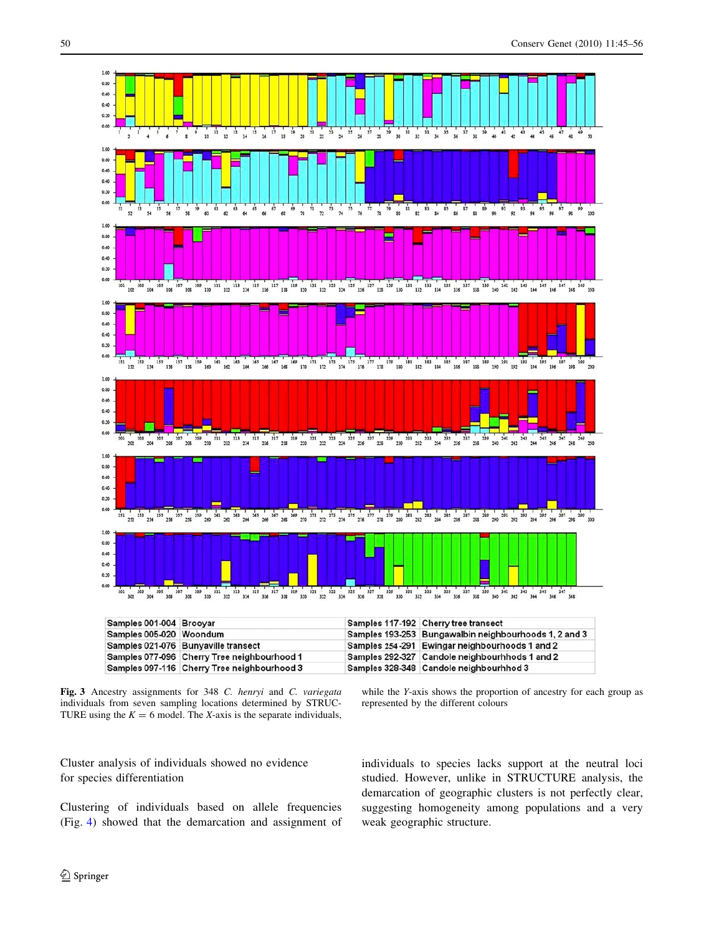<span id="page-5-0"></span>

Fig. 3 Ancestry assignments for 348 C. henryi and C. variegata individuals from seven sampling locations determined by STRUC-TURE using the  $K = 6$  model. The X-axis is the separate individuals,

Cluster analysis of individuals showed no evidence for species differentiation

Clustering of individuals based on allele frequencies (Fig. [4](#page-6-0)) showed that the demarcation and assignment of

while the Y-axis shows the proportion of ancestry for each group as represented by the different colours

individuals to species lacks support at the neutral loci studied. However, unlike in STRUCTURE analysis, the demarcation of geographic clusters is not perfectly clear, suggesting homogeneity among populations and a very weak geographic structure.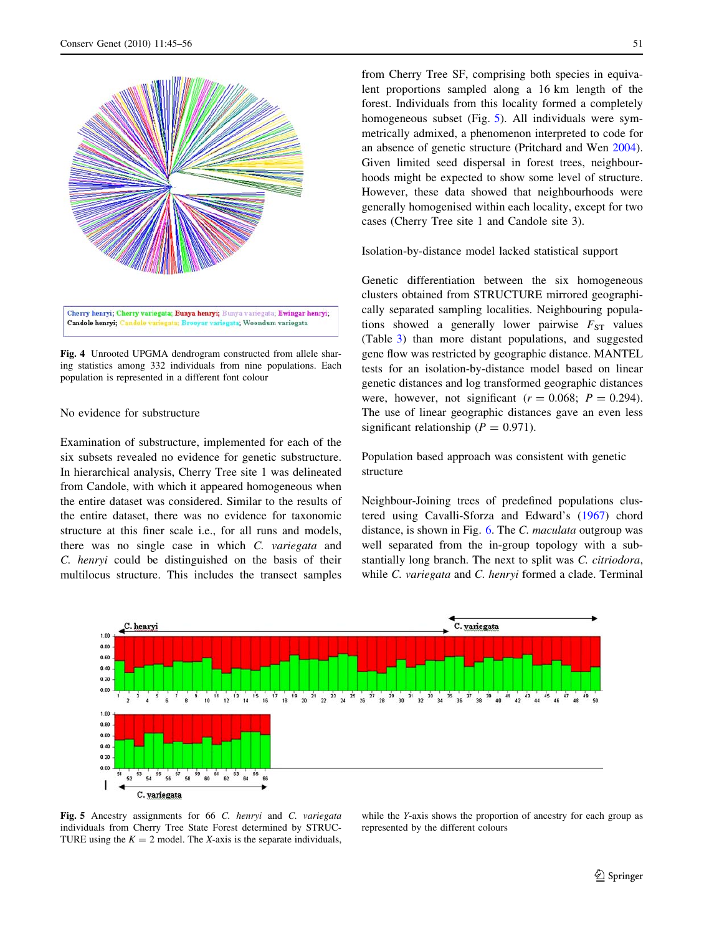<span id="page-6-0"></span>

Fig. 4 Unrooted UPGMA dendrogram constructed from allele sharing statistics among 332 individuals from nine populations. Each population is represented in a different font colour

# No evidence for substructure

Examination of substructure, implemented for each of the six subsets revealed no evidence for genetic substructure. In hierarchical analysis, Cherry Tree site 1 was delineated from Candole, with which it appeared homogeneous when the entire dataset was considered. Similar to the results of the entire dataset, there was no evidence for taxonomic structure at this finer scale i.e., for all runs and models, there was no single case in which C. variegata and C. henryi could be distinguished on the basis of their multilocus structure. This includes the transect samples from Cherry Tree SF, comprising both species in equivalent proportions sampled along a 16 km length of the forest. Individuals from this locality formed a completely homogeneous subset (Fig. 5). All individuals were symmetrically admixed, a phenomenon interpreted to code for an absence of genetic structure (Pritchard and Wen [2004](#page-10-0)). Given limited seed dispersal in forest trees, neighbourhoods might be expected to show some level of structure. However, these data showed that neighbourhoods were generally homogenised within each locality, except for two cases (Cherry Tree site 1 and Candole site 3).

Isolation-by-distance model lacked statistical support

Genetic differentiation between the six homogeneous clusters obtained from STRUCTURE mirrored geographically separated sampling localities. Neighbouring populations showed a generally lower pairwise  $F_{ST}$  values (Table [3\)](#page-9-0) than more distant populations, and suggested gene flow was restricted by geographic distance. MANTEL tests for an isolation-by-distance model based on linear genetic distances and log transformed geographic distances were, however, not significant ( $r = 0.068$ ;  $P = 0.294$ ). The use of linear geographic distances gave an even less significant relationship ( $P = 0.971$ ).

Population based approach was consistent with genetic structure

Neighbour-Joining trees of predefined populations clustered using Cavalli-Sforza and Edward's [\(1967](#page-10-0)) chord distance, is shown in Fig. [6.](#page-7-0) The C. *maculata* outgroup was well separated from the in-group topology with a substantially long branch. The next to split was C. citriodora, while C. variegata and C. henryi formed a clade. Terminal



Fig. 5 Ancestry assignments for 66 C. henryi and C. variegata individuals from Cherry Tree State Forest determined by STRUC-TURE using the  $K = 2$  model. The X-axis is the separate individuals,

while the Y-axis shows the proportion of ancestry for each group as represented by the different colours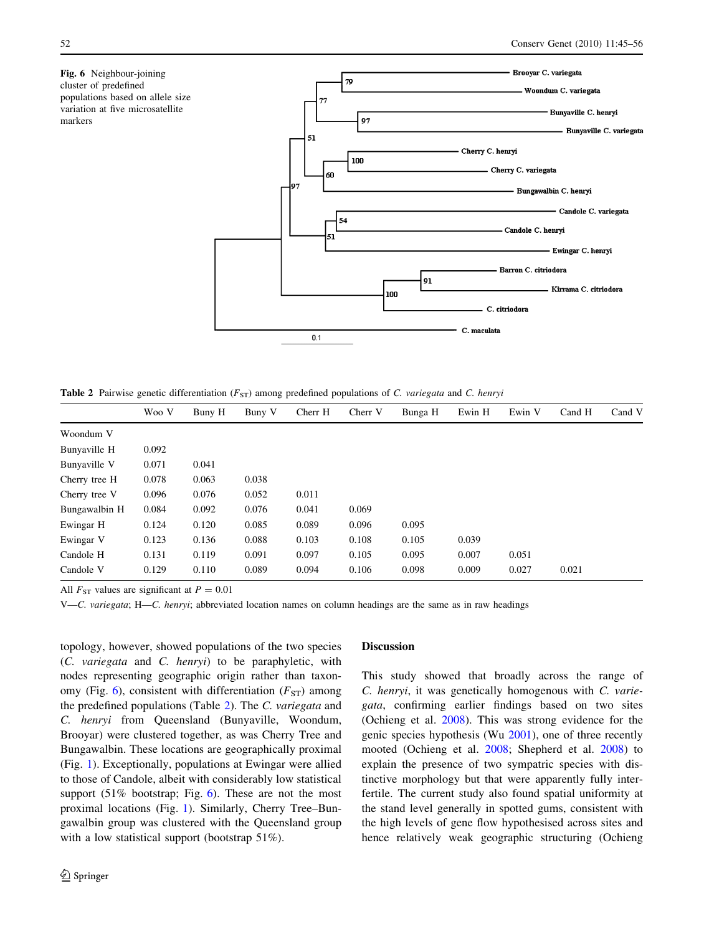<span id="page-7-0"></span>

**Table 2** Pairwise genetic differentiation ( $F_{ST}$ ) among predefined populations of C. variegata and C. henryi

|               | Woo V | Buny H | Buny V | Cherr H | Cherr V | Bunga H | Ewin H | Ewin V | Cand H | Cand V |
|---------------|-------|--------|--------|---------|---------|---------|--------|--------|--------|--------|
| Woondum V     |       |        |        |         |         |         |        |        |        |        |
| Bunyaville H  | 0.092 |        |        |         |         |         |        |        |        |        |
| Bunyaville V  | 0.071 | 0.041  |        |         |         |         |        |        |        |        |
| Cherry tree H | 0.078 | 0.063  | 0.038  |         |         |         |        |        |        |        |
| Cherry tree V | 0.096 | 0.076  | 0.052  | 0.011   |         |         |        |        |        |        |
| Bungawalbin H | 0.084 | 0.092  | 0.076  | 0.041   | 0.069   |         |        |        |        |        |
| Ewingar H     | 0.124 | 0.120  | 0.085  | 0.089   | 0.096   | 0.095   |        |        |        |        |
| Ewingar V     | 0.123 | 0.136  | 0.088  | 0.103   | 0.108   | 0.105   | 0.039  |        |        |        |
| Candole H     | 0.131 | 0.119  | 0.091  | 0.097   | 0.105   | 0.095   | 0.007  | 0.051  |        |        |
| Candole V     | 0.129 | 0.110  | 0.089  | 0.094   | 0.106   | 0.098   | 0.009  | 0.027  | 0.021  |        |

All  $F_{ST}$  values are significant at  $P = 0.01$ 

V-C. variegata; H-C. henryi; abbreviated location names on column headings are the same as in raw headings

topology, however, showed populations of the two species (C. variegata and C. henryi) to be paraphyletic, with nodes representing geographic origin rather than taxonomy (Fig. 6), consistent with differentiation ( $F_{ST}$ ) among the predefined populations (Table 2). The C. variegata and C. henryi from Queensland (Bunyaville, Woondum, Brooyar) were clustered together, as was Cherry Tree and Bungawalbin. These locations are geographically proximal (Fig. [1](#page-2-0)). Exceptionally, populations at Ewingar were allied to those of Candole, albeit with considerably low statistical support  $(51\%$  bootstrap; Fig. 6). These are not the most proximal locations (Fig. [1](#page-2-0)). Similarly, Cherry Tree–Bungawalbin group was clustered with the Queensland group with a low statistical support (bootstrap 51%).

## **Discussion**

This study showed that broadly across the range of C. henryi, it was genetically homogenous with C. variegata, confirming earlier findings based on two sites (Ochieng et al. [2008\)](#page-10-0). This was strong evidence for the genic species hypothesis (Wu [2001](#page-11-0)), one of three recently mooted (Ochieng et al. [2008](#page-10-0); Shepherd et al. [2008](#page-11-0)) to explain the presence of two sympatric species with distinctive morphology but that were apparently fully interfertile. The current study also found spatial uniformity at the stand level generally in spotted gums, consistent with the high levels of gene flow hypothesised across sites and hence relatively weak geographic structuring (Ochieng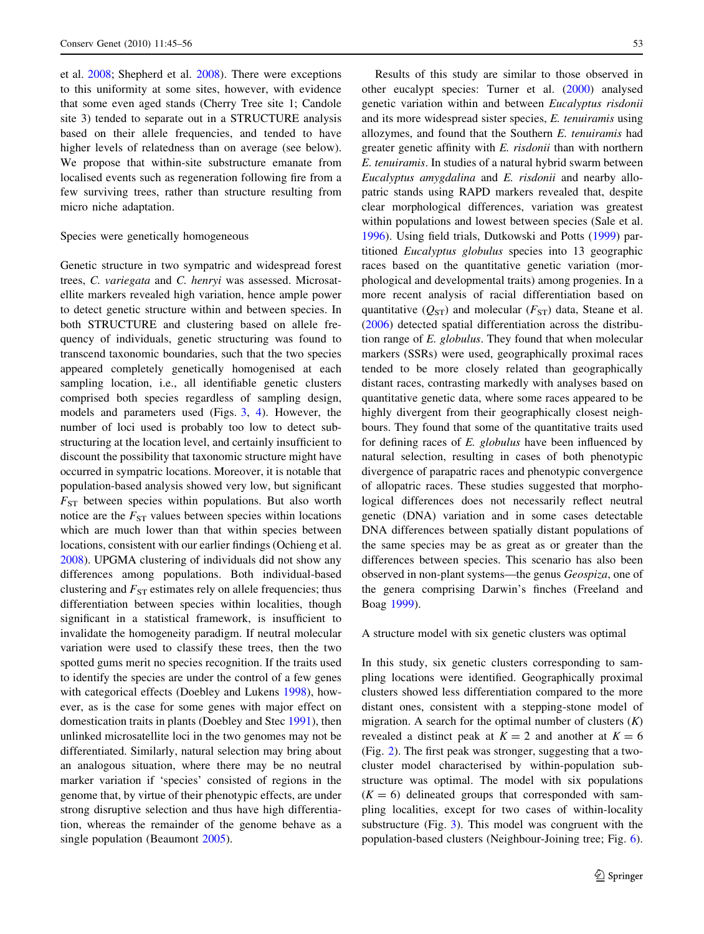et al. [2008](#page-10-0); Shepherd et al. [2008](#page-11-0)). There were exceptions to this uniformity at some sites, however, with evidence that some even aged stands (Cherry Tree site 1; Candole site 3) tended to separate out in a STRUCTURE analysis based on their allele frequencies, and tended to have higher levels of relatedness than on average (see below). We propose that within-site substructure emanate from localised events such as regeneration following fire from a few surviving trees, rather than structure resulting from micro niche adaptation.

# Species were genetically homogeneous

Genetic structure in two sympatric and widespread forest trees, C. variegata and C. henryi was assessed. Microsatellite markers revealed high variation, hence ample power to detect genetic structure within and between species. In both STRUCTURE and clustering based on allele frequency of individuals, genetic structuring was found to transcend taxonomic boundaries, such that the two species appeared completely genetically homogenised at each sampling location, i.e., all identifiable genetic clusters comprised both species regardless of sampling design, models and parameters used (Figs. [3,](#page-5-0) [4](#page-6-0)). However, the number of loci used is probably too low to detect substructuring at the location level, and certainly insufficient to discount the possibility that taxonomic structure might have occurred in sympatric locations. Moreover, it is notable that population-based analysis showed very low, but significant  $F_{ST}$  between species within populations. But also worth notice are the  $F_{ST}$  values between species within locations which are much lower than that within species between locations, consistent with our earlier findings (Ochieng et al. [2008\)](#page-10-0). UPGMA clustering of individuals did not show any differences among populations. Both individual-based clustering and  $F_{ST}$  estimates rely on allele frequencies; thus differentiation between species within localities, though significant in a statistical framework, is insufficient to invalidate the homogeneity paradigm. If neutral molecular variation were used to classify these trees, then the two spotted gums merit no species recognition. If the traits used to identify the species are under the control of a few genes with categorical effects (Doebley and Lukens [1998\)](#page-10-0), however, as is the case for some genes with major effect on domestication traits in plants (Doebley and Stec [1991\)](#page-10-0), then unlinked microsatellite loci in the two genomes may not be differentiated. Similarly, natural selection may bring about an analogous situation, where there may be no neutral marker variation if 'species' consisted of regions in the genome that, by virtue of their phenotypic effects, are under strong disruptive selection and thus have high differentiation, whereas the remainder of the genome behave as a single population (Beaumont [2005](#page-10-0)).

Results of this study are similar to those observed in other eucalypt species: Turner et al. [\(2000](#page-11-0)) analysed genetic variation within and between Eucalyptus risdonii and its more widespread sister species, E. tenuiramis using allozymes, and found that the Southern E. tenuiramis had greater genetic affinity with E. risdonii than with northern E. tenuiramis. In studies of a natural hybrid swarm between Eucalyptus amygdalina and E. risdonii and nearby allopatric stands using RAPD markers revealed that, despite clear morphological differences, variation was greatest within populations and lowest between species (Sale et al. [1996](#page-11-0)). Using field trials, Dutkowski and Potts [\(1999](#page-10-0)) partitioned Eucalyptus globulus species into 13 geographic races based on the quantitative genetic variation (morphological and developmental traits) among progenies. In a more recent analysis of racial differentiation based on quantitative  $(Q_{ST})$  and molecular  $(F_{ST})$  data, Steane et al. [\(2006](#page-11-0)) detected spatial differentiation across the distribution range of E. globulus. They found that when molecular markers (SSRs) were used, geographically proximal races tended to be more closely related than geographically distant races, contrasting markedly with analyses based on quantitative genetic data, where some races appeared to be highly divergent from their geographically closest neighbours. They found that some of the quantitative traits used for defining races of E. globulus have been influenced by natural selection, resulting in cases of both phenotypic divergence of parapatric races and phenotypic convergence of allopatric races. These studies suggested that morphological differences does not necessarily reflect neutral genetic (DNA) variation and in some cases detectable DNA differences between spatially distant populations of the same species may be as great as or greater than the differences between species. This scenario has also been observed in non-plant systems—the genus Geospiza, one of the genera comprising Darwin's finches (Freeland and Boag [1999\)](#page-10-0).

# A structure model with six genetic clusters was optimal

In this study, six genetic clusters corresponding to sampling locations were identified. Geographically proximal clusters showed less differentiation compared to the more distant ones, consistent with a stepping-stone model of migration. A search for the optimal number of clusters  $(K)$ revealed a distinct peak at  $K = 2$  and another at  $K = 6$ (Fig. [2\)](#page-4-0). The first peak was stronger, suggesting that a twocluster model characterised by within-population substructure was optimal. The model with six populations  $(K = 6)$  delineated groups that corresponded with sampling localities, except for two cases of within-locality substructure (Fig. [3](#page-5-0)). This model was congruent with the population-based clusters (Neighbour-Joining tree; Fig. [6](#page-7-0)).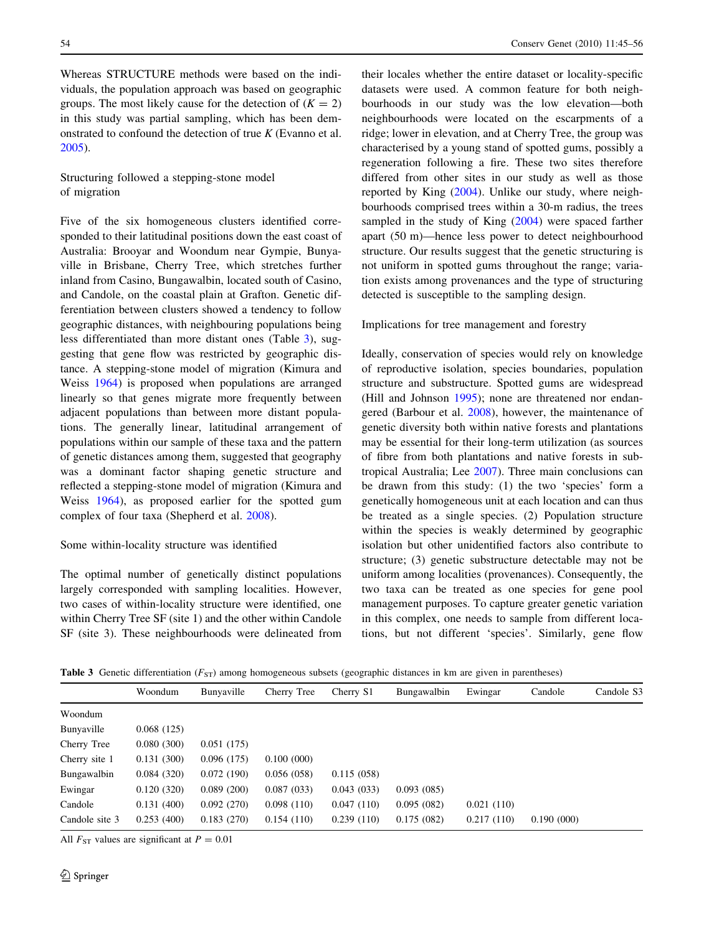<span id="page-9-0"></span>Whereas STRUCTURE methods were based on the individuals, the population approach was based on geographic groups. The most likely cause for the detection of  $(K = 2)$ in this study was partial sampling, which has been demonstrated to confound the detection of true  $K$  (Evanno et al. [2005\)](#page-10-0).

Structuring followed a stepping-stone model of migration

Five of the six homogeneous clusters identified corresponded to their latitudinal positions down the east coast of Australia: Brooyar and Woondum near Gympie, Bunyaville in Brisbane, Cherry Tree, which stretches further inland from Casino, Bungawalbin, located south of Casino, and Candole, on the coastal plain at Grafton. Genetic differentiation between clusters showed a tendency to follow geographic distances, with neighbouring populations being less differentiated than more distant ones (Table 3), suggesting that gene flow was restricted by geographic distance. A stepping-stone model of migration (Kimura and Weiss [1964\)](#page-10-0) is proposed when populations are arranged linearly so that genes migrate more frequently between adjacent populations than between more distant populations. The generally linear, latitudinal arrangement of populations within our sample of these taxa and the pattern of genetic distances among them, suggested that geography was a dominant factor shaping genetic structure and reflected a stepping-stone model of migration (Kimura and Weiss [1964](#page-10-0)), as proposed earlier for the spotted gum complex of four taxa (Shepherd et al. [2008\)](#page-11-0).

## Some within-locality structure was identified

The optimal number of genetically distinct populations largely corresponded with sampling localities. However, two cases of within-locality structure were identified, one within Cherry Tree SF (site 1) and the other within Candole SF (site 3). These neighbourhoods were delineated from

their locales whether the entire dataset or locality-specific datasets were used. A common feature for both neighbourhoods in our study was the low elevation—both neighbourhoods were located on the escarpments of a ridge; lower in elevation, and at Cherry Tree, the group was characterised by a young stand of spotted gums, possibly a regeneration following a fire. These two sites therefore differed from other sites in our study as well as those reported by King [\(2004](#page-10-0)). Unlike our study, where neighbourhoods comprised trees within a 30-m radius, the trees sampled in the study of King ([2004\)](#page-10-0) were spaced farther apart (50 m)—hence less power to detect neighbourhood structure. Our results suggest that the genetic structuring is not uniform in spotted gums throughout the range; variation exists among provenances and the type of structuring detected is susceptible to the sampling design.

#### Implications for tree management and forestry

Ideally, conservation of species would rely on knowledge of reproductive isolation, species boundaries, population structure and substructure. Spotted gums are widespread (Hill and Johnson [1995](#page-10-0)); none are threatened nor endangered (Barbour et al. [2008\)](#page-10-0), however, the maintenance of genetic diversity both within native forests and plantations may be essential for their long-term utilization (as sources of fibre from both plantations and native forests in subtropical Australia; Lee [2007](#page-10-0)). Three main conclusions can be drawn from this study: (1) the two 'species' form a genetically homogeneous unit at each location and can thus be treated as a single species. (2) Population structure within the species is weakly determined by geographic isolation but other unidentified factors also contribute to structure; (3) genetic substructure detectable may not be uniform among localities (provenances). Consequently, the two taxa can be treated as one species for gene pool management purposes. To capture greater genetic variation in this complex, one needs to sample from different locations, but not different 'species'. Similarly, gene flow

**Table 3** Genetic differentiation ( $F_{ST}$ ) among homogeneous subsets (geographic distances in km are given in parentheses)

|                | Woondum    | Bunyaville | Cherry Tree | Cherry S1  | Bungawalbin | Ewingar    | Candole    | Candole S3 |
|----------------|------------|------------|-------------|------------|-------------|------------|------------|------------|
| Woondum        |            |            |             |            |             |            |            |            |
| Bunyaville     | 0.068(125) |            |             |            |             |            |            |            |
| Cherry Tree    | 0.080(300) | 0.051(175) |             |            |             |            |            |            |
| Cherry site 1  | 0.131(300) | 0.096(175) | 0.100(000)  |            |             |            |            |            |
| Bungawalbin    | 0.084(320) | 0.072(190) | 0.056(058)  | 0.115(058) |             |            |            |            |
| Ewingar        | 0.120(320) | 0.089(200) | 0.087(033)  | 0.043(033) | 0.093(085)  |            |            |            |
| Candole        | 0.131(400) | 0.092(270) | 0.098(110)  | 0.047(110) | 0.095(082)  | 0.021(110) |            |            |
| Candole site 3 | 0.253(400) | 0.183(270) | 0.154(110)  | 0.239(110) | 0.175(082)  | 0.217(110) | 0.190(000) |            |
|                |            |            |             |            |             |            |            |            |

All  $F_{ST}$  values are significant at  $P = 0.01$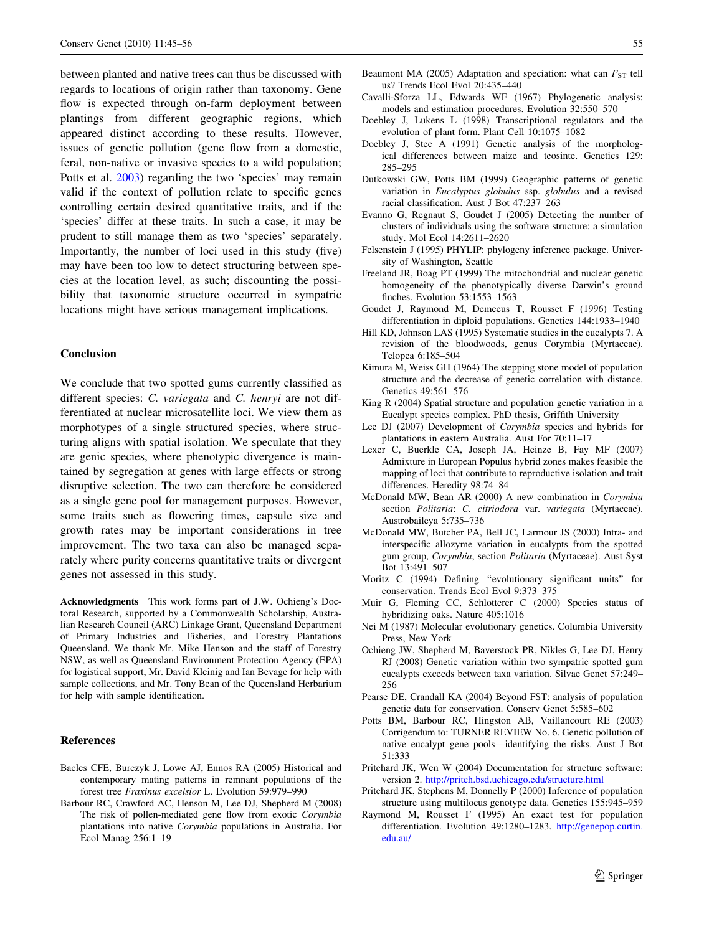<span id="page-10-0"></span>between planted and native trees can thus be discussed with regards to locations of origin rather than taxonomy. Gene flow is expected through on-farm deployment between plantings from different geographic regions, which appeared distinct according to these results. However, issues of genetic pollution (gene flow from a domestic, feral, non-native or invasive species to a wild population; Potts et al. 2003) regarding the two 'species' may remain valid if the context of pollution relate to specific genes controlling certain desired quantitative traits, and if the 'species' differ at these traits. In such a case, it may be prudent to still manage them as two 'species' separately. Importantly, the number of loci used in this study (five) may have been too low to detect structuring between species at the location level, as such; discounting the possibility that taxonomic structure occurred in sympatric locations might have serious management implications.

# **Conclusion**

We conclude that two spotted gums currently classified as different species: C. variegata and C. henryi are not differentiated at nuclear microsatellite loci. We view them as morphotypes of a single structured species, where structuring aligns with spatial isolation. We speculate that they are genic species, where phenotypic divergence is maintained by segregation at genes with large effects or strong disruptive selection. The two can therefore be considered as a single gene pool for management purposes. However, some traits such as flowering times, capsule size and growth rates may be important considerations in tree improvement. The two taxa can also be managed separately where purity concerns quantitative traits or divergent genes not assessed in this study.

Acknowledgments This work forms part of J.W. Ochieng's Doctoral Research, supported by a Commonwealth Scholarship, Australian Research Council (ARC) Linkage Grant, Queensland Department of Primary Industries and Fisheries, and Forestry Plantations Queensland. We thank Mr. Mike Henson and the staff of Forestry NSW, as well as Queensland Environment Protection Agency (EPA) for logistical support, Mr. David Kleinig and Ian Bevage for help with sample collections, and Mr. Tony Bean of the Queensland Herbarium for help with sample identification.

# References

- Bacles CFE, Burczyk J, Lowe AJ, Ennos RA (2005) Historical and contemporary mating patterns in remnant populations of the forest tree Fraxinus excelsior L. Evolution 59:979–990
- Barbour RC, Crawford AC, Henson M, Lee DJ, Shepherd M (2008) The risk of pollen-mediated gene flow from exotic Corymbia plantations into native Corymbia populations in Australia. For Ecol Manag 256:1–19
- Beaumont MA (2005) Adaptation and speciation: what can  $F_{ST}$  tell us? Trends Ecol Evol 20:435–440
- Cavalli-Sforza LL, Edwards WF (1967) Phylogenetic analysis: models and estimation procedures. Evolution 32:550–570
- Doebley J, Lukens L (1998) Transcriptional regulators and the evolution of plant form. Plant Cell 10:1075–1082
- Doebley J, Stec A (1991) Genetic analysis of the morphological differences between maize and teosinte. Genetics 129: 285–295
- Dutkowski GW, Potts BM (1999) Geographic patterns of genetic variation in Eucalyptus globulus ssp. globulus and a revised racial classification. Aust J Bot 47:237–263
- Evanno G, Regnaut S, Goudet J (2005) Detecting the number of clusters of individuals using the software structure: a simulation study. Mol Ecol 14:2611–2620
- Felsenstein J (1995) PHYLIP: phylogeny inference package. University of Washington, Seattle
- Freeland JR, Boag PT (1999) The mitochondrial and nuclear genetic homogeneity of the phenotypically diverse Darwin's ground finches. Evolution 53:1553–1563
- Goudet J, Raymond M, Demeeus T, Rousset F (1996) Testing differentiation in diploid populations. Genetics 144:1933–1940
- Hill KD, Johnson LAS (1995) Systematic studies in the eucalypts 7. A revision of the bloodwoods, genus Corymbia (Myrtaceae). Telopea 6:185–504
- Kimura M, Weiss GH (1964) The stepping stone model of population structure and the decrease of genetic correlation with distance. Genetics 49:561–576
- King R (2004) Spatial structure and population genetic variation in a Eucalypt species complex. PhD thesis, Griffith University
- Lee DJ (2007) Development of Corymbia species and hybrids for plantations in eastern Australia. Aust For 70:11–17
- Lexer C, Buerkle CA, Joseph JA, Heinze B, Fay MF (2007) Admixture in European Populus hybrid zones makes feasible the mapping of loci that contribute to reproductive isolation and trait differences. Heredity 98:74–84
- McDonald MW, Bean AR (2000) A new combination in Corymbia section Politaria: C. citriodora var. variegata (Myrtaceae). Austrobaileya 5:735–736
- McDonald MW, Butcher PA, Bell JC, Larmour JS (2000) Intra- and interspecific allozyme variation in eucalypts from the spotted gum group, Corymbia, section Politaria (Myrtaceae). Aust Syst Bot 13:491–507
- Moritz C (1994) Defining ''evolutionary significant units'' for conservation. Trends Ecol Evol 9:373–375
- Muir G, Fleming CC, Schlotterer C (2000) Species status of hybridizing oaks. Nature 405:1016
- Nei M (1987) Molecular evolutionary genetics. Columbia University Press, New York
- Ochieng JW, Shepherd M, Baverstock PR, Nikles G, Lee DJ, Henry RJ (2008) Genetic variation within two sympatric spotted gum eucalypts exceeds between taxa variation. Silvae Genet 57:249– 256
- Pearse DE, Crandall KA (2004) Beyond FST: analysis of population genetic data for conservation. Conserv Genet 5:585–602
- Potts BM, Barbour RC, Hingston AB, Vaillancourt RE (2003) Corrigendum to: TURNER REVIEW No. 6. Genetic pollution of native eucalypt gene pools—identifying the risks. Aust J Bot 51:333
- Pritchard JK, Wen W (2004) Documentation for structure software: version 2. <http://pritch.bsd.uchicago.edu/structure.html>
- Pritchard JK, Stephens M, Donnelly P (2000) Inference of population structure using multilocus genotype data. Genetics 155:945–959
- Raymond M, Rousset F (1995) An exact test for population differentiation. Evolution 49:1280–1283. [http://genepop.curtin.](http://genepop.curtin.edu.au/) [edu.au/](http://genepop.curtin.edu.au/)